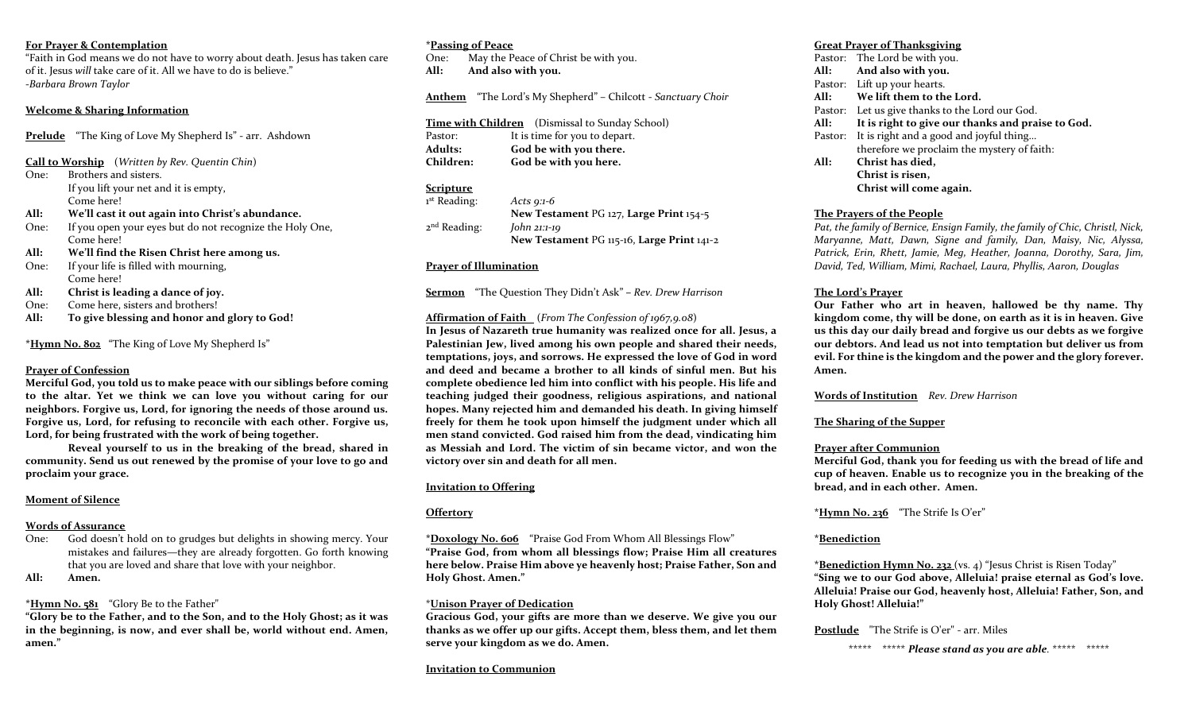#### **For Prayer & Contemplation**

"Faith in God means we do not have to worry about death. Jesus has taken care of it. Jesus *will* take care of it. All we have to do is believe." -*Barbara Brown Taylor*

#### **Welcome & Sharing Information**

**Prelude** "The King of Love My Shepherd Is" - arr. Ashdown

- **Call to Worship** (*Written by Rev. Quentin Chin*)
- One: Brothers and sisters. If you lift your net and it is empty, Come here!
- **All: We'll cast it out again into Christ's abundance.**
- One: If you open your eyes but do not recognize the Holy One, Come here!
- **All: We'll find the Risen Christ here among us.**
- One: If your life is filled with mourning, Come here!
- **All: Christ is leading a dance of joy.**
- One: Come here, sisters and brothers!
- **All: To give blessing and honor and glory to God!**

**\*Hymn No. 802** "The King of Love My Shepherd Is"

## **Prayer of Confession**

**Merciful God, you told us to make peace with our siblings before coming to the altar. Yet we think we can love you without caring for our neighbors. Forgive us, Lord, for ignoring the needs of those around us. Forgive us, Lord, for refusing to reconcile with each other. Forgive us, Lord, for being frustrated with the work of being together.** 

**Reveal yourself to us in the breaking of the bread, shared in community. Send us out renewed by the promise of your love to go and proclaim your grace.** 

# **Moment of Silence**

## **Words of Assurance**

One: God doesn't hold on to grudges but delights in showing mercy. Your mistakes and failures—they are already forgotten. Go forth knowing that you are loved and share that love with your neighbor.

## **All: Amen.**

## **\*Hymn No. 581** "Glory Be to the Father"

**"Glory be to the Father, and to the Son, and to the Holy Ghost; as it was in the beginning, is now, and ever shall be, world without end. Amen, amen."**

#### **\*Passing of Peace**

One: May the Peace of Christ be with you. **All: And also with you.** 

**Anthem** "The Lord's My Shepherd" – Chilcott - *Sanctuary Choir*

|                  | Time with Children (Dismissal to Sunday School) |
|------------------|-------------------------------------------------|
| Pastor:          | It is time for you to depart.                   |
| <b>Adults:</b>   | God be with you there.                          |
| <b>Children:</b> | God be with you here.                           |

## **Scripture**

1 st Reading: *Acts 9:1-6* **New Testament** PG 127, **Large Print** 154-5 2<sup>nd</sup> Reading: John 21:1-19 **New Testament** PG 115-16, **Large Print** 141-2

## **Prayer of Illumination**

**Sermon** "The Question They Didn't Ask" **–** *Rev. Drew Harrison*

## **Affirmation of Faith** (*From The Confession of 1967,9.08*)

**In Jesus of Nazareth true humanity was realized once for all. Jesus, a Palestinian Jew, lived among his own people and shared their needs, temptations, joys, and sorrows. He expressed the love of God in word and deed and became a brother to all kinds of sinful men. But his complete obedience led him into conflict with his people. His life and teaching judged their goodness, religious aspirations, and national hopes. Many rejected him and demanded his death. In giving himself freely for them he took upon himself the judgment under which all men stand convicted. God raised him from the dead, vindicating him as Messiah and Lord. The victim of sin became victor, and won the victory over sin and death for all men.** 

## **Invitation to Offering**

# **Offertory**

**\*Doxology No. 606** "Praise God From Whom All Blessings Flow" **"Praise God, from whom all blessings flow; Praise Him all creatures here below. Praise Him above ye heavenly host; Praise Father, Son and Holy Ghost. Amen."**

## \***Unison Prayer of Dedication**

**Gracious God, your gifts are more than we deserve. We give you our thanks as we offer up our gifts. Accept them, bless them, and let them serve your kingdom as we do. Amen.** 

#### **Invitation to Communion**

## **Great Prayer of Thanksgiving**

|      | Pastor: The Lord be with you.                     |
|------|---------------------------------------------------|
| All: | And also with you.                                |
|      | Pastor: Lift up your hearts.                      |
| All: | We lift them to the Lord.                         |
|      | Pastor: Let us give thanks to the Lord our God.   |
| All: | It is right to give our thanks and praise to God. |
|      | Pastor: It is right and a good and joyful thing   |
|      | therefore we proclaim the mystery of faith:       |
| All: | Christ has died,                                  |
|      | Christ is risen,                                  |
|      | Christ will come again.                           |
|      |                                                   |

## **The Prayers of the People**

*Pat, the family of Bernice, Ensign Family, the family of Chic, Christl, Nick, Maryanne, Matt, Dawn, Signe and family, Dan, Maisy, Nic, Alyssa, Patrick, Erin, Rhett, Jamie, Meg, Heather, Joanna, Dorothy, Sara, Jim, David, Ted, William, Mimi, Rachael, Laura, Phyllis, Aaron, Douglas* 

# **The Lord's Prayer**

**Our Father who art in heaven, hallowed be thy name. Thy kingdom come, thy will be done, on earth as it is in heaven. Give us this day our daily bread and forgive us our debts as we forgive our debtors. And lead us not into temptation but deliver us from evil. For thine is the kingdom and the power and the glory forever. Amen.**

**Words of Institution** *Rev. Drew Harrison*

# **The Sharing of the Supper**

## **Prayer after Communion**

**Merciful God, thank you for feeding us with the bread of life and cup of heaven. Enable us to recognize you in the breaking of the bread, and in each other. Amen.** 

**\*Hymn No. 236** "The Strife Is O'er"

# **\*Benediction**

**\*Benediction Hymn No. 232** (vs. 4) "Jesus Christ is Risen Today" **"Sing we to our God above, Alleluia! praise eternal as God's love. Alleluia! Praise our God, heavenly host, Alleluia! Father, Son, and Holy Ghost! Alleluia!"** 

## **Postlude** "The Strife is O'er" - arr. Miles

\*\*\*\*\* \*\*\*\*\* *Please stand as you are able.* \*\*\*\*\* \*\*\*\*\*